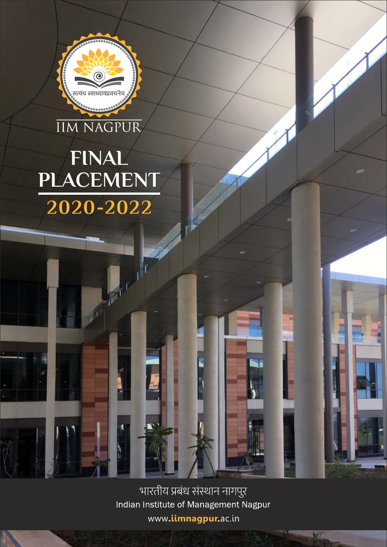भारतीय प्रबंध संस्थान नागपुर Indian Institute of Management Nagpur www**.iimnagpur.**ac.in

**MARKET BEE** 

**SALE SERVICE** 

M

# **IIM NAGPUR FINAL PLACEMENT2020-2022**

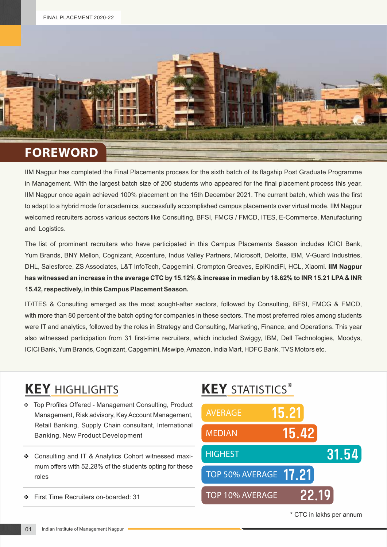

IIM Nagpur has completed the Final Placements process for the sixth batch of its flagship Post Graduate Programme in Management. With the largest batch size of 200 students who appeared for the final placement process this year, IIM Nagpur once again achieved 100% placement on the 15th December 2021. The current batch, which was the first to adapt to a hybrid mode for academics, successfully accomplished campus placements over virtual mode. IIM Nagpur welcomed recruiters across various sectors like Consulting, BFSI, FMCG / FMCD, ITES, E-Commerce, Manufacturing and Logistics.

The list of prominent recruiters who have participated in this Campus Placements Season includes ICICI Bank, Yum Brands, BNY Mellon, Cognizant, Accenture, Indus Valley Partners, Microsoft, Deloitte, IBM, V-Guard Industries, DHL, Salesforce, ZS Associates, L&T InfoTech, Capgemini, Crompton Greaves, EpiKIndiFi, HCL, Xiaomi. **IIM Nagpur has witnessed an increase in the average CTC by 15.12% & increase in median by 18.62% to INR 15.21 LPA & INR 15.42, respectively, in this Campus Placement Season.**

IT/ITES & Consulting emerged as the most sought-after sectors, followed by Consulting, BFSI, FMCG & FMCD, with more than 80 percent of the batch opting for companies in these sectors. The most preferred roles among students were IT and analytics, followed by the roles in Strategy and Consulting, Marketing, Finance, and Operations. This year also witnessed participation from 31 first-time recruiters, which included Swiggy, IBM, Dell Technologies, Moodys, ICICI Bank, Yum Brands, Cognizant, Capgemini, Mswipe, Amazon, India Mart, HDFC Bank, TVS Motors etc.

### **KEY** HIGHLIGHTS **KEY** STATISTICS\*

- \* Top Profiles Offered Management Consulting, Product Management, Risk advisory, Key Account Management, Retail Banking, Supply Chain consultant, International Banking, New Product Development
- v Consulting and IT & Analytics Cohort witnessed maximum offers with 52.28% of the students opting for these roles
- v First Time Recruiters on-boarded: 31



<sup>\*</sup> CTC in lakhs per annum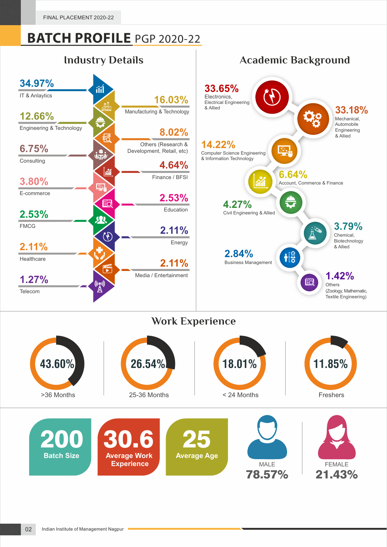

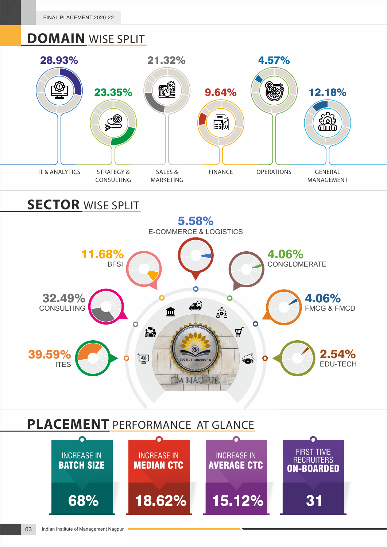### **DOMAIN** WISE SPLIT

![](_page_3_Figure_2.jpeg)

### **SECTOR** WISE SPLIT

![](_page_3_Figure_4.jpeg)

#### **PLACEMENT** PERFORMANCE AT GLANCE

![](_page_3_Figure_6.jpeg)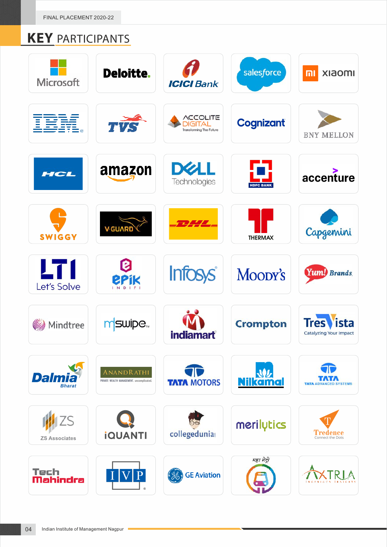FINAL PLACEMENT 2020-22

## **KEY** PARTICIPANTS

| <b>Microsoft</b>                  | <b>Deloitte.</b>                                               | <b>ICICI Bank</b>                                          | salesforce             | <b>Imosix</b><br>mı                                  |
|-----------------------------------|----------------------------------------------------------------|------------------------------------------------------------|------------------------|------------------------------------------------------|
| IBM.                              | TVS                                                            | <b>ACCOLITE</b><br>GITAL<br><b>Transforming The Future</b> | <b>Cognizant</b>       | <b>BNY MELLON</b>                                    |
| HCL                               | amazon                                                         | DØLL<br>Technologies                                       | J.<br><b>HDFC BANK</b> | accenture                                            |
| <b>SWIGGY</b>                     | V-GUARD                                                        | 7777                                                       | <b>THERMAX</b>         | Capgemini                                            |
| LT 1<br>Let's Solve               | <b>EPIK</b>                                                    | <b>Infosys®</b>                                            | Moody's                | Yum! Brands.                                         |
| <b>Mindtree</b>                   | mswipe <sub>**</sub>                                           | <b>indiamart</b>                                           | <b>Crompton</b>        | <b>Tres</b><br>ista<br><b>Catalyzing Your Impact</b> |
| <b>Dalmia</b><br><b>Bharat</b>    | <b>ANANDRATHI</b><br>PRIVATE WEALTH MANAGEMENT. uncomplicated. | <b>TATA MOTORS</b>                                         | 业<br><b>Nilkamal</b>   | <b>TATA ADVA</b>                                     |
| <b>ZS</b><br><b>ZS Associates</b> | <b>iQUANTI</b>                                                 | collegedunia                                               | merilytics             | Tredence<br>Connect the Dots                         |
| Tech<br>Mahindra                  |                                                                | <b>GE Aviation</b>                                         | महा मेट्रो             |                                                      |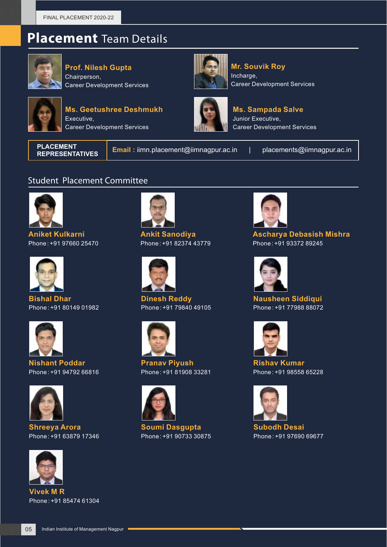#### **Placement** Team Details

![](_page_5_Picture_2.jpeg)

**Prof. Nilesh Gupta**  Chairperson, Career Development Services

![](_page_5_Picture_4.jpeg)

**Ms. Geetushree Deshmukh** Executive, Career Development Services

![](_page_5_Picture_6.jpeg)

**Mr. Souvik Roy** Incharge, Career Development Services

![](_page_5_Picture_8.jpeg)

**Ms. Sampada Salve** Junior Executive, Career Development Services

**PLACEMENT** 

**Email :** iimn.placement@iimnagpur.ac.in | placements@iimnagpur.ac.in

#### Student Placement Committee

![](_page_5_Picture_14.jpeg)

**Aniket Kulkarni** Phone : +91 97660 25470

![](_page_5_Picture_16.jpeg)

**Bishal Dhar** Phone : +91 80149 01982

![](_page_5_Picture_18.jpeg)

**Nishant Poddar** Phone : +91 94792 66816

![](_page_5_Picture_20.jpeg)

**Shreeya Arora** Phone : +91 63879 17346

![](_page_5_Picture_22.jpeg)

**Vivek M R** Phone : +91 85474 61304

![](_page_5_Picture_24.jpeg)

**Ankit Sanodiya** Phone : +91 82374 43779

![](_page_5_Picture_26.jpeg)

**Dinesh Reddy** Phone : +91 79840 49105

![](_page_5_Picture_28.jpeg)

**Pranav Piyush** Phone : +91 81908 33281

![](_page_5_Picture_30.jpeg)

**Soumi Dasgupta** Phone : +91 90733 30875

![](_page_5_Picture_32.jpeg)

**Ascharya Debasish Mishra** Phone : +91 93372 89245

![](_page_5_Picture_34.jpeg)

**Nausheen Siddiqui** Phone : +91 77988 88072

![](_page_5_Picture_36.jpeg)

**Rishav Kumar** Phone : +91 98558 65228

![](_page_5_Picture_38.jpeg)

**Subodh Desai** Phone : +91 97690 69677